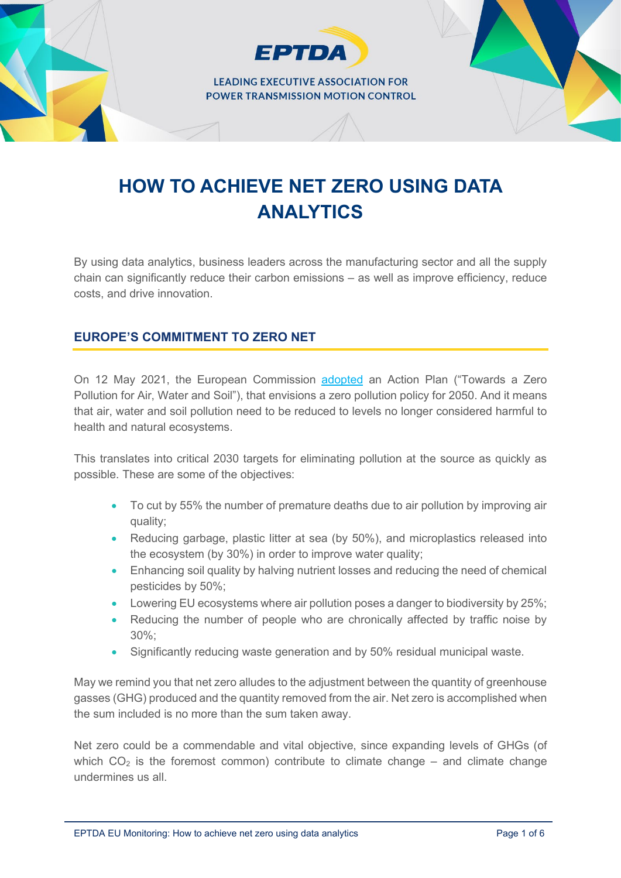**FPTDA** 

# **HOW TO ACHIEVE NET ZERO USING DATA ANALYTICS**

By using data analytics, business leaders across the manufacturing sector and all the supply chain can significantly reduce their carbon emissions – as well as improve efficiency, reduce costs, and drive innovation.

# **EUROPE'S COMMITMENT TO ZERO NET**

On 12 May 2021, the European Commission [adopted](https://eur-lex.europa.eu/legal-content/EN/TXT/?uri=CELEX%3A52021DC0400&qid=1623311742827) an Action Plan ("Towards a Zero Pollution for Air, Water and Soil"), that envisions a zero pollution policy for 2050. And it means that air, water and soil pollution need to be reduced to levels no longer considered harmful to health and natural ecosystems.

This translates into critical 2030 targets for eliminating pollution at the source as quickly as possible. These are some of the objectives:

- To cut by 55% the number of premature deaths due to air pollution by improving air quality;
- Reducing garbage, plastic litter at sea (by 50%), and microplastics released into the ecosystem (by 30%) in order to improve water quality;
- Enhancing soil quality by halving nutrient losses and reducing the need of chemical pesticides by 50%;
- Lowering EU ecosystems where air pollution poses a danger to biodiversity by 25%;
- Reducing the number of people who are chronically affected by traffic noise by  $30\%$
- Significantly reducing waste generation and by 50% residual municipal waste.

May we remind you that net zero alludes to the adjustment between the quantity of greenhouse gasses (GHG) produced and the quantity removed from the air. Net zero is accomplished when the sum included is no more than the sum taken away.

Net zero could be a commendable and vital objective, since expanding levels of GHGs (of which  $CO<sub>2</sub>$  is the foremost common) contribute to climate change – and climate change undermines us all.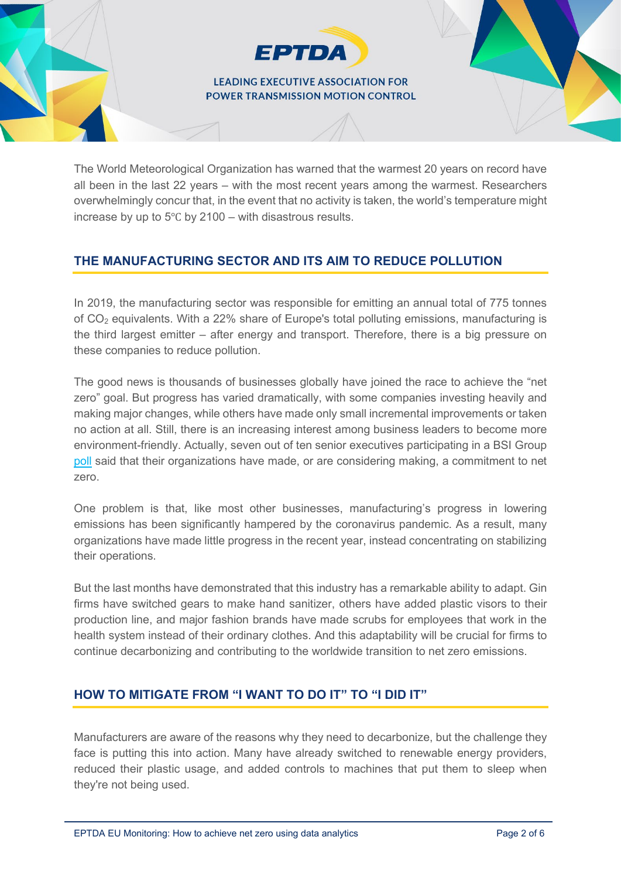**EPTDA** 

The World Meteorological Organization has warned that the warmest 20 years on record have all been in the last 22 years – with the most recent years among the warmest. Researchers overwhelmingly concur that, in the event that no activity is taken, the world's temperature might increase by up to 5℃ by 2100 – with disastrous results.

# **THE MANUFACTURING SECTOR AND ITS AIM TO REDUCE POLLUTION**

In 2019, the manufacturing sector was responsible for emitting an annual total of 775 tonnes of CO2 equivalents. With a 22% share of Europe's total polluting emissions, manufacturing is the third largest emitter – after energy and transport. Therefore, there is a big pressure on these companies to reduce pollution.

The good news is thousands of businesses globally have joined the race to achieve the "net zero" goal. But progress has varied dramatically, with some companies investing heavily and making major changes, while others have made only small incremental improvements or taken no action at all. Still, there is an increasing interest among business leaders to become more environment-friendly. Actually, seven out of ten senior executives participating in a BSI Group [poll](https://www.bsigroup.com/en-GB/blog/manufacturing-blog/a-manufacturing-sector-working-towards-net-zero/) said that their organizations have made, or are considering making, a commitment to net zero.

One problem is that, like most other businesses, manufacturing's progress in lowering emissions has been significantly hampered by the coronavirus pandemic. As a result, many organizations have made little progress in the recent year, instead concentrating on stabilizing their operations.

But the last months have demonstrated that this industry has a remarkable ability to adapt. Gin firms have switched gears to make hand sanitizer, others have added plastic visors to their production line, and major fashion brands have made scrubs for employees that work in the health system instead of their ordinary clothes. And this adaptability will be crucial for firms to continue decarbonizing and contributing to the worldwide transition to net zero emissions.

#### **HOW TO MITIGATE FROM "I WANT TO DO IT" TO "I DID IT"**

Manufacturers are aware of the reasons why they need to decarbonize, but the challenge they face is putting this into action. Many have already switched to renewable energy providers, reduced their plastic usage, and added controls to machines that put them to sleep when they're not being used.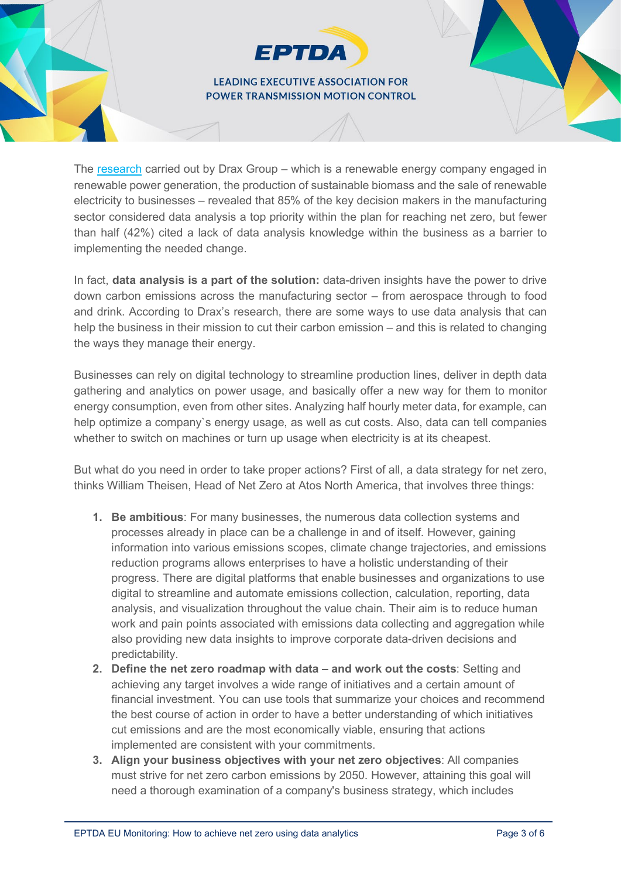**EPTDA** 

The [research](https://www.themanufacturer.com/articles/how-data-is-helping-manufacturers-achieve-net-zero/) carried out by Drax Group – which is a renewable energy company engaged in renewable power generation, the production of sustainable biomass and the sale of renewable electricity to businesses – revealed that 85% of the key decision makers in the manufacturing sector considered data analysis a top priority within the plan for reaching net zero, but fewer than half (42%) cited a lack of data analysis knowledge within the business as a barrier to implementing the needed change.

In fact, **data analysis is a part of the solution:** data-driven insights have the power to drive down carbon emissions across the manufacturing sector – from aerospace through to food and drink. According to Drax's research, there are some ways to use data analysis that can help the business in their mission to cut their carbon emission – and this is related to changing the ways they manage their energy.

Businesses can rely on digital technology to streamline production lines, deliver in depth data gathering and analytics on power usage, and basically offer a new way for them to monitor energy consumption, even from other sites. Analyzing half hourly meter data, for example, can help optimize a company`s energy usage, as well as cut costs. Also, data can tell companies whether to switch on machines or turn up usage when electricity is at its cheapest.

But what do you need in order to take proper actions? First of all, a data strategy for net zero, thinks William Theisen, Head of Net Zero at Atos North America, that involves three things:

- **1. Be ambitious**: For many businesses, the numerous data collection systems and processes already in place can be a challenge in and of itself. However, gaining information into various emissions scopes, climate change trajectories, and emissions reduction programs allows enterprises to have a holistic understanding of their progress. There are digital platforms that enable businesses and organizations to use digital to streamline and automate emissions collection, calculation, reporting, data analysis, and visualization throughout the value chain. Their aim is to reduce human work and pain points associated with emissions data collecting and aggregation while also providing new data insights to improve corporate data-driven decisions and predictability.
- **2. Define the net zero roadmap with data – and work out the costs**: Setting and achieving any target involves a wide range of initiatives and a certain amount of financial investment. You can use tools that summarize your choices and recommend the best course of action in order to have a better understanding of which initiatives cut emissions and are the most economically viable, ensuring that actions implemented are consistent with your commitments.
- **3. Align your business objectives with your net zero objectives**: All companies must strive for net zero carbon emissions by 2050. However, attaining this goal will need a thorough examination of a company's business strategy, which includes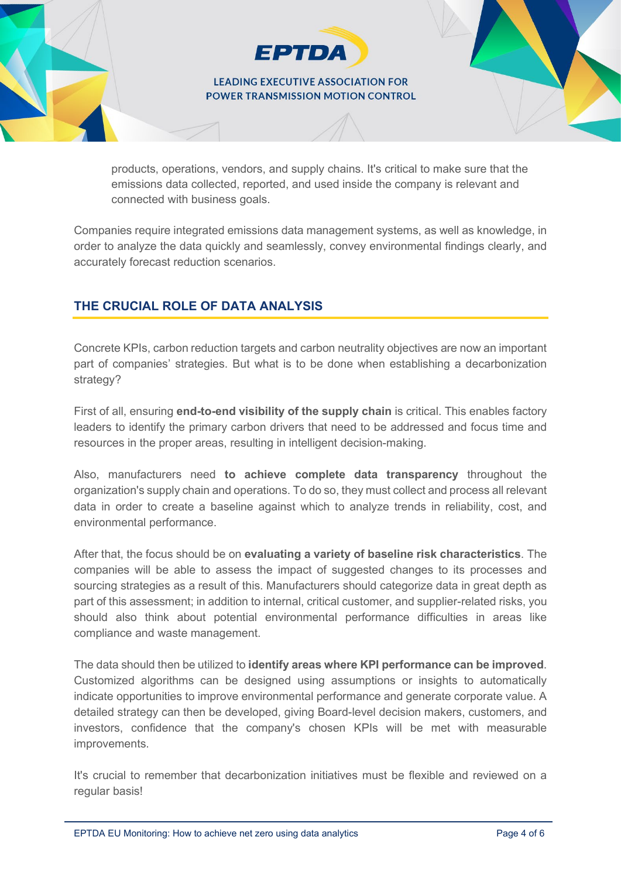**EPTDA** 

products, operations, vendors, and supply chains. It's critical to make sure that the emissions data collected, reported, and used inside the company is relevant and connected with business goals.

Companies require integrated emissions data management systems, as well as knowledge, in order to analyze the data quickly and seamlessly, convey environmental findings clearly, and accurately forecast reduction scenarios.

# **THE CRUCIAL ROLE OF DATA ANALYSIS**

Concrete KPIs, carbon reduction targets and carbon neutrality objectives are now an important part of companies' strategies. But what is to be done when establishing a decarbonization strategy?

First of all, ensuring **end-to-end visibility of the supply chain** is critical. This enables factory leaders to identify the primary carbon drivers that need to be addressed and focus time and resources in the proper areas, resulting in intelligent decision-making.

Also, manufacturers need **to achieve complete data transparency** throughout the organization's supply chain and operations. To do so, they must collect and process all relevant data in order to create a baseline against which to analyze trends in reliability, cost, and environmental performance.

After that, the focus should be on **evaluating a variety of baseline risk characteristics**. The companies will be able to assess the impact of suggested changes to its processes and sourcing strategies as a result of this. Manufacturers should categorize data in great depth as part of this assessment; in addition to internal, critical customer, and supplier-related risks, you should also think about potential environmental performance difficulties in areas like compliance and waste management.

The data should then be utilized to **identify areas where KPI performance can be improved**. Customized algorithms can be designed using assumptions or insights to automatically indicate opportunities to improve environmental performance and generate corporate value. A detailed strategy can then be developed, giving Board-level decision makers, customers, and investors, confidence that the company's chosen KPIs will be met with measurable improvements.

It's crucial to remember that decarbonization initiatives must be flexible and reviewed on a regular basis!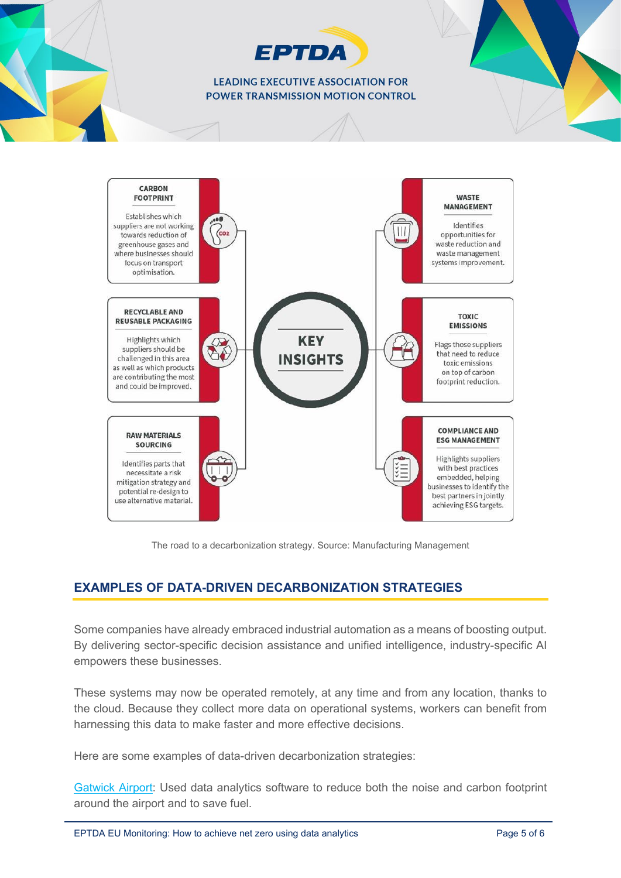# **EPTDA**

#### **LEADING EXECUTIVE ASSOCIATION FOR** POWER TRANSMISSION MOTION CONTROL



The road to a decarbonization strategy. Source: Manufacturing Management

# **EXAMPLES OF DATA-DRIVEN DECARBONIZATION STRATEGIES**

Some companies have already embraced industrial automation as a means of boosting output. By delivering sector-specific decision assistance and unified intelligence, industry-specific AI empowers these businesses.

These systems may now be operated remotely, at any time and from any location, thanks to the cloud. Because they collect more data on operational systems, workers can benefit from harnessing this data to make faster and more effective decisions.

Here are some examples of data-driven decarbonization strategies:

[Gatwick Airport:](https://www.splunk.com/en_us/customers/success-stories/gatwick-airport.html) Used data analytics software to reduce both the noise and carbon footprint around the airport and to save fuel.